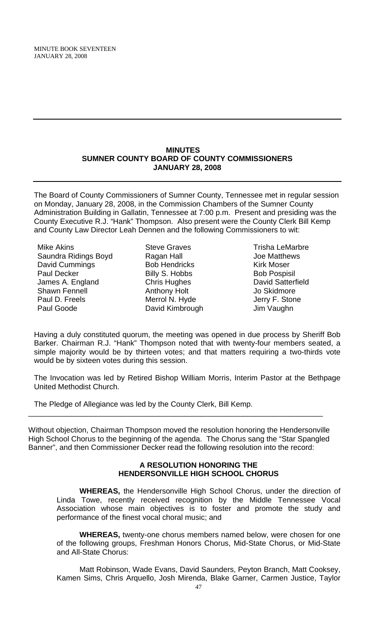#### **MINUTES SUMNER COUNTY BOARD OF COUNTY COMMISSIONERS JANUARY 28, 2008**

The Board of County Commissioners of Sumner County, Tennessee met in regular session on Monday, January 28, 2008, in the Commission Chambers of the Sumner County Administration Building in Gallatin, Tennessee at 7:00 p.m. Present and presiding was the County Executive R.J. "Hank" Thompson. Also present were the County Clerk Bill Kemp and County Law Director Leah Dennen and the following Commissioners to wit:

Mike Akins Saundra Ridings Boyd David Cummings Paul Decker James A. England Shawn Fennell Paul D. Freels Paul Goode

Steve Graves Ragan Hall Bob Hendricks Billy S. Hobbs Chris Hughes Anthony Holt Merrol N. Hyde David Kimbrough

Trisha LeMarbre Joe Matthews Kirk Moser Bob Pospisil David Satterfield Jo Skidmore Jerry F. Stone Jim Vaughn

Having a duly constituted quorum, the meeting was opened in due process by Sheriff Bob Barker. Chairman R.J. "Hank" Thompson noted that with twenty-four members seated, a simple majority would be by thirteen votes; and that matters requiring a two-thirds vote would be by sixteen votes during this session.

The Invocation was led by Retired Bishop William Morris, Interim Pastor at the Bethpage United Methodist Church.

The Pledge of Allegiance was led by the County Clerk, Bill Kemp.

Without objection, Chairman Thompson moved the resolution honoring the Hendersonville High School Chorus to the beginning of the agenda. The Chorus sang the "Star Spangled Banner", and then Commissioner Decker read the following resolution into the record:

\_\_\_\_\_\_\_\_\_\_\_\_\_\_\_\_\_\_\_\_\_\_\_\_\_\_\_\_\_\_\_\_\_\_\_\_\_\_\_\_\_\_\_\_\_\_\_\_\_\_\_\_\_\_\_\_\_\_\_\_\_\_\_\_\_\_\_\_\_\_

## **A RESOLUTION HONORING THE HENDERSONVILLE HIGH SCHOOL CHORUS**

 **WHEREAS,** the Hendersonville High School Chorus, under the direction of Linda Towe, recently received recognition by the Middle Tennessee Vocal Association whose main objectives is to foster and promote the study and performance of the finest vocal choral music; and

**WHEREAS,** twenty-one chorus members named below, were chosen for one of the following groups, Freshman Honors Chorus, Mid-State Chorus, or Mid-State and All-State Chorus:

 Matt Robinson, Wade Evans, David Saunders, Peyton Branch, Matt Cooksey, Kamen Sims, Chris Arquello, Josh Mirenda, Blake Garner, Carmen Justice, Taylor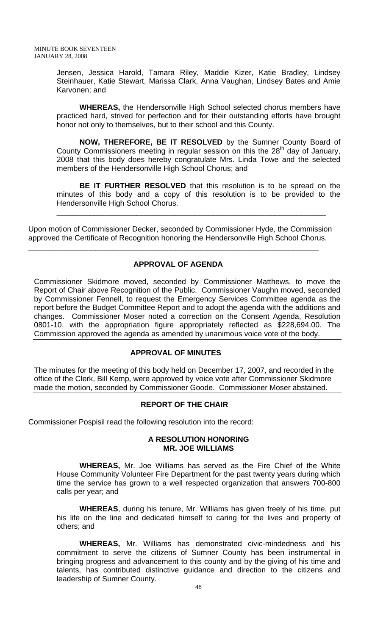Jensen, Jessica Harold, Tamara Riley, Maddie Kizer, Katie Bradley, Lindsey Steinhauer, Katie Stewart, Marissa Clark, Anna Vaughan, Lindsey Bates and Amie Karvonen; and

 **WHEREAS,** the Hendersonville High School selected chorus members have practiced hard, strived for perfection and for their outstanding efforts have brought honor not only to themselves, but to their school and this County.

**NOW, THEREFORE, BE IT RESOLVED** by the Sumner County Board of County Commissioners meeting in regular session on this the  $28<sup>th</sup>$  day of January, 2008 that this body does hereby congratulate Mrs. Linda Towe and the selected members of the Hendersonville High School Chorus; and

**BE IT FURTHER RESOLVED** that this resolution is to be spread on the minutes of this body and a copy of this resolution is to be provided to the Hendersonville High School Chorus.

\_\_\_\_\_\_\_\_\_\_\_\_\_\_\_\_\_\_\_\_\_\_\_\_\_\_\_\_\_\_\_\_\_\_\_\_\_\_\_\_\_\_\_\_\_\_\_\_\_\_\_\_\_\_\_\_\_\_\_\_\_\_\_\_

Upon motion of Commissioner Decker, seconded by Commissioner Hyde, the Commission approved the Certificate of Recognition honoring the Hendersonville High School Chorus.

# **APPROVAL OF AGENDA**

\_\_\_\_\_\_\_\_\_\_\_\_\_\_\_\_\_\_\_\_\_\_\_\_\_\_\_\_\_\_\_\_\_\_\_\_\_\_\_\_\_\_\_\_\_\_\_\_\_\_\_\_\_\_\_\_\_\_\_\_\_\_\_\_\_\_\_\_\_

Commissioner Skidmore moved, seconded by Commissioner Matthews, to move the Report of Chair above Recognition of the Public. Commissioner Vaughn moved, seconded by Commissioner Fennell, to request the Emergency Services Committee agenda as the report before the Budget Committee Report and to adopt the agenda with the additions and changes. Commissioner Moser noted a correction on the Consent Agenda, Resolution 0801-10, with the appropriation figure appropriately reflected as \$228,694.00. The Commission approved the agenda as amended by unanimous voice vote of the body.

## **APPROVAL OF MINUTES**

The minutes for the meeting of this body held on December 17, 2007, and recorded in the office of the Clerk, Bill Kemp, were approved by voice vote after Commissioner Skidmore made the motion, seconded by Commissioner Goode. Commissioner Moser abstained.

## **REPORT OF THE CHAIR**

Commissioner Pospisil read the following resolution into the record:

#### **A RESOLUTION HONORING MR. JOE WILLIAMS**

 **WHEREAS,** Mr. Joe Williams has served as the Fire Chief of the White House Community Volunteer Fire Department for the past twenty years during which time the service has grown to a well respected organization that answers 700-800 calls per year; and

**WHEREAS**, during his tenure, Mr. Williams has given freely of his time, put his life on the line and dedicated himself to caring for the lives and property of others; and

**WHEREAS,** Mr. Williams has demonstrated civic-mindedness and his commitment to serve the citizens of Sumner County has been instrumental in bringing progress and advancement to this county and by the giving of his time and talents, has contributed distinctive guidance and direction to the citizens and leadership of Sumner County.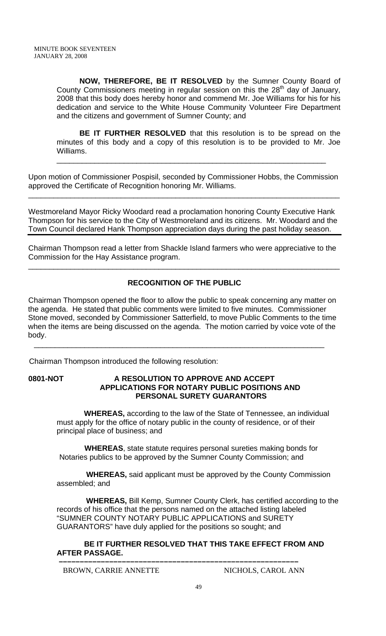**NOW, THEREFORE, BE IT RESOLVED** by the Sumner County Board of County Commissioners meeting in regular session on this the  $28<sup>th</sup>$  day of January, 2008 that this body does hereby honor and commend Mr. Joe Williams for his for his dedication and service to the White House Community Volunteer Fire Department and the citizens and government of Sumner County; and

**BE IT FURTHER RESOLVED** that this resolution is to be spread on the minutes of this body and a copy of this resolution is to be provided to Mr. Joe Williams.

\_\_\_\_\_\_\_\_\_\_\_\_\_\_\_\_\_\_\_\_\_\_\_\_\_\_\_\_\_\_\_\_\_\_\_\_\_\_\_\_\_\_\_\_\_\_\_\_\_\_\_\_\_\_\_\_\_\_\_\_\_\_\_\_

Upon motion of Commissioner Pospisil, seconded by Commissioner Hobbs, the Commission approved the Certificate of Recognition honoring Mr. Williams.

\_\_\_\_\_\_\_\_\_\_\_\_\_\_\_\_\_\_\_\_\_\_\_\_\_\_\_\_\_\_\_\_\_\_\_\_\_\_\_\_\_\_\_\_\_\_\_\_\_\_\_\_\_\_\_\_\_\_\_\_\_\_\_\_\_\_\_\_\_\_\_\_\_\_

Westmoreland Mayor Ricky Woodard read a proclamation honoring County Executive Hank Thompson for his service to the City of Westmoreland and its citizens. Mr. Woodard and the Town Council declared Hank Thompson appreciation days during the past holiday season.

Chairman Thompson read a letter from Shackle Island farmers who were appreciative to the Commission for the Hay Assistance program.

# **RECOGNITION OF THE PUBLIC**

\_\_\_\_\_\_\_\_\_\_\_\_\_\_\_\_\_\_\_\_\_\_\_\_\_\_\_\_\_\_\_\_\_\_\_\_\_\_\_\_\_\_\_\_\_\_\_\_\_\_\_\_\_\_\_\_\_\_\_\_\_\_\_\_\_\_\_\_\_\_\_\_\_\_

Chairman Thompson opened the floor to allow the public to speak concerning any matter on the agenda. He stated that public comments were limited to five minutes. Commissioner Stone moved, seconded by Commissioner Satterfield, to move Public Comments to the time when the items are being discussed on the agenda. The motion carried by voice vote of the body.

\_\_\_\_\_\_\_\_\_\_\_\_\_\_\_\_\_\_\_\_\_\_\_\_\_\_\_\_\_\_\_\_\_\_\_\_\_\_\_\_\_\_\_\_\_\_\_\_\_\_\_\_\_\_\_\_\_\_\_\_\_\_\_\_\_\_\_\_\_

Chairman Thompson introduced the following resolution:

**0801-NOT A RESOLUTION TO APPROVE AND ACCEPT APPLICATIONS FOR NOTARY PUBLIC POSITIONS AND PERSONAL SURETY GUARANTORS** 

 **WHEREAS,** according to the law of the State of Tennessee, an individual must apply for the office of notary public in the county of residence, or of their principal place of business; and

 **WHEREAS**, state statute requires personal sureties making bonds for Notaries publics to be approved by the Sumner County Commission; and

 **WHEREAS,** said applicant must be approved by the County Commission assembled; and

 **WHEREAS,** Bill Kemp, Sumner County Clerk, has certified according to the records of his office that the persons named on the attached listing labeled "SUMNER COUNTY NOTARY PUBLIC APPLICATIONS and SURETY GUARANTORS" have duly applied for the positions so sought; and

 **BE IT FURTHER RESOLVED THAT THIS TAKE EFFECT FROM AND AFTER PASSAGE.** 

 **–––––––––––––––––––––––––––––––––––––––––––––––––––––––––**

BROWN, CARRIE ANNETTE NICHOLS, CAROL ANN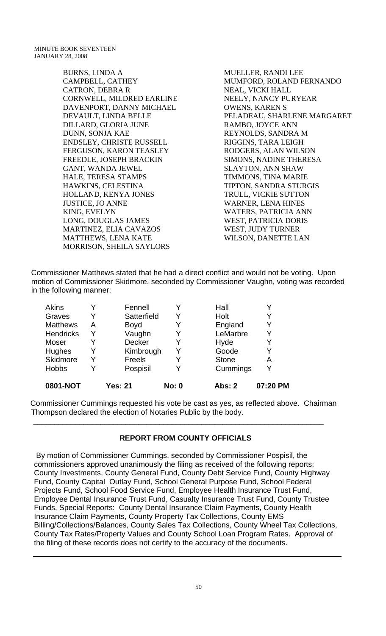BURNS, LINDA A CAMPBELL, CATHEY CATRON, DEBRA R CORNWELL, MILDRED EARLINE DAVENPORT, DANNY MICHAEL DEVAULT, LINDA BELLE DILLARD, GLORIA JUNE DUNN, SONJA KAE ENDSLEY, CHRISTE RUSSELL FERGUSON, KARON TEASLEY FREEDLE, JOSEPH BRACKIN GANT, WANDA JEWEL HALE, TERESA STAMPS HAWKINS, CELESTINA HOLLAND, KENYA JONES JUSTICE, JO ANNE KING, EVELYN LONG, DOUGLAS JAMES MARTINEZ, ELIA CAVAZOS MATTHEWS, LENA KATE MORRISON, SHEILA SAYLORS

MUELLER, RANDI LEE MUMFORD, ROLAND FERNANDO NEAL, VICKI HALL NEELY, NANCY PURYEAR OWENS, KAREN S PELADEAU, SHARLENE MARGARET RAMBO, JOYCE ANN REYNOLDS, SANDRA M RIGGINS, TARA LEIGH RODGERS, ALAN WILSON SIMONS, NADINE THERESA SLAYTON, ANN SHAW TIMMONS, TINA MARIE TIPTON, SANDRA STURGIS TRULL, VICKIE SUTTON WARNER, LENA HINES WATERS, PATRICIA ANN WEST, PATRICIA DORIS WEST, JUDY TURNER WILSON, DANETTE LAN

Commissioner Matthews stated that he had a direct conflict and would not be voting. Upon motion of Commissioner Skidmore, seconded by Commissioner Vaughn, voting was recorded in the following manner:

| 0801-NOT         |   | Yes: 21       | <b>No: 0</b> | Abs: 2       | 07:20 PM |
|------------------|---|---------------|--------------|--------------|----------|
| <b>Hobbs</b>     |   | Pospisil      |              | Cummings     | ∨        |
| Skidmore         |   | <b>Freels</b> |              | <b>Stone</b> | Α        |
| Hughes           |   | Kimbrough     | Y            | Goode        |          |
| Moser            |   | <b>Decker</b> |              | Hyde         |          |
| <b>Hendricks</b> |   | Vaughn        |              | LeMarbre     |          |
| <b>Matthews</b>  | A | <b>Boyd</b>   |              | England      | Y        |
| Graves           |   | Satterfield   |              | Holt         |          |
| <b>Akins</b>     |   | Fennell       |              | Hall         |          |

 Commissioner Cummings requested his vote be cast as yes, as reflected above. Chairman Thompson declared the election of Notaries Public by the body.

\_\_\_\_\_\_\_\_\_\_\_\_\_\_\_\_\_\_\_\_\_\_\_\_\_\_\_\_\_\_\_\_\_\_\_\_\_\_\_\_\_\_\_\_\_\_\_\_\_\_\_\_\_\_\_\_\_\_\_\_\_\_\_\_\_\_\_\_\_

## **REPORT FROM COUNTY OFFICIALS**

 By motion of Commissioner Cummings, seconded by Commissioner Pospisil, the commissioners approved unanimously the filing as received of the following reports: County Investments, County General Fund, County Debt Service Fund, County Highway Fund, County Capital Outlay Fund, School General Purpose Fund, School Federal Projects Fund, School Food Service Fund, Employee Health Insurance Trust Fund, Employee Dental Insurance Trust Fund, Casualty Insurance Trust Fund, County Trustee Funds, Special Reports: County Dental Insurance Claim Payments, County Health Insurance Claim Payments, County Property Tax Collections, County EMS Billing/Collections/Balances, County Sales Tax Collections, County Wheel Tax Collections, County Tax Rates/Property Values and County School Loan Program Rates. Approval of the filing of these records does not certify to the accuracy of the documents.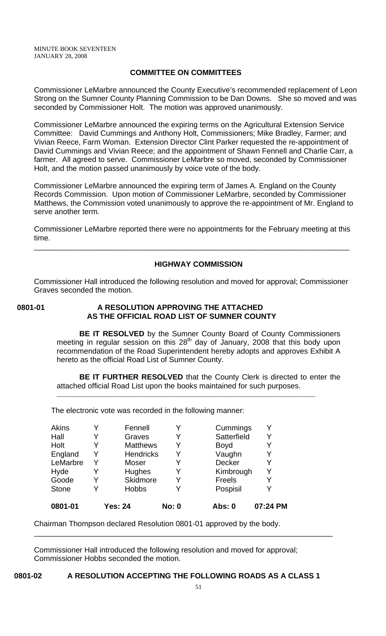## **COMMITTEE ON COMMITTEES**

Commissioner LeMarbre announced the County Executive's recommended replacement of Leon Strong on the Sumner County Planning Commission to be Dan Downs. She so moved and was seconded by Commissioner Holt. The motion was approved unanimously.

Commissioner LeMarbre announced the expiring terms on the Agricultural Extension Service Committee: David Cummings and Anthony Holt, Commissioners; Mike Bradley, Farmer; and Vivian Reece, Farm Woman. Extension Director Clint Parker requested the re-appointment of David Cummings and Vivian Reece; and the appointment of Shawn Fennell and Charlie Carr, a farmer. All agreed to serve. Commissioner LeMarbre so moved, seconded by Commissioner Holt, and the motion passed unanimously by voice vote of the body.

Commissioner LeMarbre announced the expiring term of James A. England on the County Records Commission. Upon motion of Commissioner LeMarbre, seconded by Commissioner Matthews, the Commission voted unanimously to approve the re-appointment of Mr. England to serve another term.

Commissioner LeMarbre reported there were no appointments for the February meeting at this time.

\_\_\_\_\_\_\_\_\_\_\_\_\_\_\_\_\_\_\_\_\_\_\_\_\_\_\_\_\_\_\_\_\_\_\_\_\_\_\_\_\_\_\_\_\_\_\_\_\_\_\_\_\_\_\_\_\_\_\_\_\_\_\_\_\_\_\_\_\_\_\_\_\_\_\_

#### **HIGHWAY COMMISSION**

Commissioner Hall introduced the following resolution and moved for approval; Commissioner Graves seconded the motion.

#### **0801-01 A RESOLUTION APPROVING THE ATTACHED AS THE OFFICIAL ROAD LIST OF SUMNER COUNTY**

**BE IT RESOLVED** by the Sumner County Board of County Commissioners meeting in regular session on this 28<sup>th</sup> day of January, 2008 that this body upon recommendation of the Road Superintendent hereby adopts and approves Exhibit A hereto as the official Road List of Sumner County.

**BE IT FURTHER RESOLVED** that the County Clerk is directed to enter the attached official Road List upon the books maintained for such purposes.

\_\_\_\_\_\_\_\_\_\_\_\_\_\_\_\_\_\_\_\_\_\_\_\_\_\_\_\_\_\_\_\_\_\_\_\_\_\_\_\_\_\_\_\_\_\_\_\_\_\_\_\_\_\_\_\_\_\_\_\_\_\_\_\_\_\_\_\_\_\_\_\_\_\_\_\_\_\_\_\_\_\_

The electronic vote was recorded in the following manner:

| Akins        | Y | Fennell          | Y            | Cummings      |          |
|--------------|---|------------------|--------------|---------------|----------|
| Hall         | Y | Graves           | Y            | Satterfield   | Y        |
| Holt         | Y | <b>Matthews</b>  | Y            | <b>Boyd</b>   |          |
| England      | Y | <b>Hendricks</b> | Y            | Vaughn        |          |
| LeMarbre     | Y | Moser            | Y            | <b>Decker</b> |          |
| Hyde         | Y | Hughes           | Y            | Kimbrough     | Y        |
| Goode        | Y | Skidmore         | Y            | <b>Freels</b> |          |
| <b>Stone</b> | Y | <b>Hobbs</b>     | Y            | Pospisil      |          |
| 0801-01      |   | <b>Yes: 24</b>   | <b>No: 0</b> | Abs: 0        | 07:24 PM |

Chairman Thompson declared Resolution 0801-01 approved by the body.

Commissioner Hall introduced the following resolution and moved for approval; Commissioner Hobbs seconded the motion.

\_\_\_\_\_\_\_\_\_\_\_\_\_\_\_\_\_\_\_\_\_\_\_\_\_\_\_\_\_\_\_\_\_\_\_\_\_\_\_\_\_\_\_\_\_\_\_\_\_\_\_\_\_\_\_\_\_\_\_\_\_\_\_\_\_\_\_\_\_\_\_

#### **0801-02 A RESOLUTION ACCEPTING THE FOLLOWING ROADS AS A CLASS 1**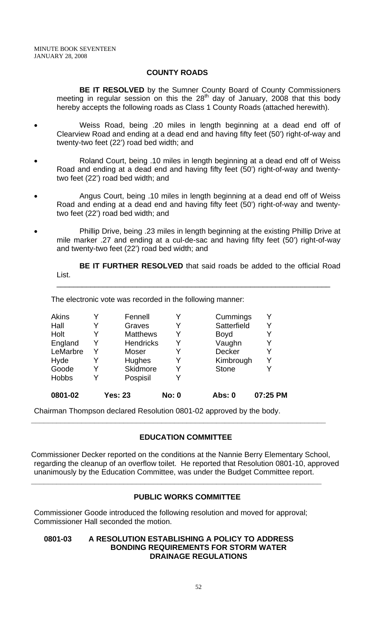## **COUNTY ROADS**

**BE IT RESOLVED** by the Sumner County Board of County Commissioners meeting in regular session on this the  $28<sup>th</sup>$  day of January, 2008 that this body hereby accepts the following roads as Class 1 County Roads (attached herewith).

- Weiss Road, being .20 miles in length beginning at a dead end off of Clearview Road and ending at a dead end and having fifty feet (50') right-of-way and twenty-two feet (22') road bed width; and
- Roland Court, being .10 miles in length beginning at a dead end off of Weiss Road and ending at a dead end and having fifty feet (50') right-of-way and twentytwo feet (22') road bed width; and
- Angus Court, being .10 miles in length beginning at a dead end off of Weiss Road and ending at a dead end and having fifty feet (50') right-of-way and twentytwo feet (22') road bed width; and
- Phillip Drive, being .23 miles in length beginning at the existing Phillip Drive at mile marker .27 and ending at a cul-de-sac and having fifty feet (50') right-of-way and twenty-two feet (22') road bed width; and

**BE IT FURTHER RESOLVED** that said roads be added to the official Road List.

\_\_\_\_\_\_\_\_\_\_\_\_\_\_\_\_\_\_\_\_\_\_\_\_\_\_\_\_\_\_\_\_\_\_\_\_\_\_\_\_\_\_\_\_\_\_\_\_\_\_\_\_\_\_\_\_\_\_\_\_\_\_\_\_\_

The electronic vote was recorded in the following manner:

| <b>Hobbs</b> | Y | Pospisil         | Y |               |   |
|--------------|---|------------------|---|---------------|---|
| Goode        | Y | Skidmore         | Y | <b>Stone</b>  |   |
| Hyde         | Y | Hughes           | Y | Kimbrough     | Y |
| LeMarbre     | Y | Moser            | Y | <b>Decker</b> | Y |
| England      | Y | <b>Hendricks</b> | Y | Vaughn        |   |
| Holt         | Y | <b>Matthews</b>  | Y | <b>Boyd</b>   | Y |
| Hall         | Y | Graves           | Y | Satterfield   | Y |
| Akins        | v | Fennell          | Y | Cummings      |   |

Chairman Thompson declared Resolution 0801-02 approved by the body.

## **EDUCATION COMMITTEE**

**\_\_\_\_\_\_\_\_\_\_\_\_\_\_\_\_\_\_\_\_\_\_\_\_\_\_\_\_\_\_\_\_\_\_\_\_\_\_\_\_\_\_\_\_\_\_\_\_\_\_\_\_\_\_\_\_\_\_\_\_\_\_\_\_\_\_\_\_\_\_** 

Commissioner Decker reported on the conditions at the Nannie Berry Elementary School, regarding the cleanup of an overflow toilet. He reported that Resolution 0801-10, approved unanimously by the Education Committee, was under the Budget Committee report.

**\_\_\_\_\_\_\_\_\_\_\_\_\_\_\_\_\_\_\_\_\_\_\_\_\_\_\_\_\_\_\_\_\_\_\_\_\_\_\_\_\_\_\_\_\_\_\_\_\_\_\_\_\_\_\_\_\_\_\_\_\_\_\_\_\_\_\_\_\_** 

#### **PUBLIC WORKS COMMITTEE**

Commissioner Goode introduced the following resolution and moved for approval; Commissioner Hall seconded the motion.

#### **0801-03 A RESOLUTION ESTABLISHING A POLICY TO ADDRESS BONDING REQUIREMENTS FOR STORM WATER DRAINAGE REGULATIONS**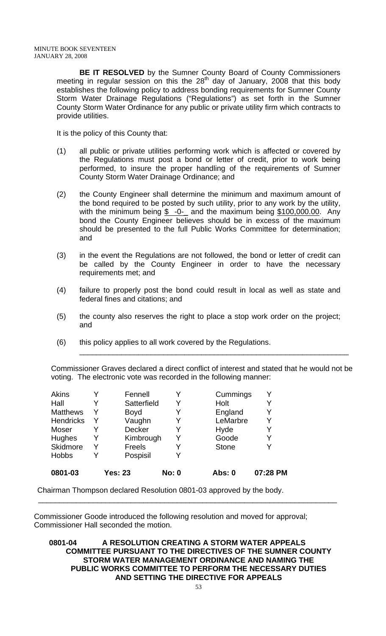**BE IT RESOLVED** by the Sumner County Board of County Commissioners meeting in regular session on this the  $28<sup>th</sup>$  day of January, 2008 that this body establishes the following policy to address bonding requirements for Sumner County Storm Water Drainage Regulations ("Regulations") as set forth in the Sumner County Storm Water Ordinance for any public or private utility firm which contracts to provide utilities.

It is the policy of this County that:

- (1) all public or private utilities performing work which is affected or covered by the Regulations must post a bond or letter of credit, prior to work being performed, to insure the proper handling of the requirements of Sumner County Storm Water Drainage Ordinance; and
- (2) the County Engineer shall determine the minimum and maximum amount of the bond required to be posted by such utility, prior to any work by the utility, with the minimum being  $$ -0-$  and the maximum being  $$100,000.00$ . Any bond the County Engineer believes should be in excess of the maximum should be presented to the full Public Works Committee for determination; and
- (3) in the event the Regulations are not followed, the bond or letter of credit can be called by the County Engineer in order to have the necessary requirements met; and
- (4) failure to properly post the bond could result in local as well as state and federal fines and citations; and
- (5) the county also reserves the right to place a stop work order on the project; and
- (6) this policy applies to all work covered by the Regulations.

Commissioner Graves declared a direct conflict of interest and stated that he would not be voting. The electronic vote was recorded in the following manner:

\_\_\_\_\_\_\_\_\_\_\_\_\_\_\_\_\_\_\_\_\_\_\_\_\_\_\_\_\_\_\_\_\_\_\_\_\_\_\_\_\_\_\_\_\_\_\_\_\_\_\_\_\_\_\_\_\_\_\_\_\_\_\_\_

| 0801-03          |   | <b>Yes: 23</b> | <b>No: 0</b> | <b>Abs: 0</b> | 07:28 PM |
|------------------|---|----------------|--------------|---------------|----------|
| <b>Hobbs</b>     |   | Pospisil       |              |               |          |
| Skidmore         | Y | <b>Freels</b>  | Y            | <b>Stone</b>  |          |
| Hughes           | Y | Kimbrough      | Y            | Goode         | Y        |
| Moser            |   | <b>Decker</b>  | Y            | Hyde          |          |
| <b>Hendricks</b> | Y | Vaughn         | Y            | LeMarbre      | Y        |
| <b>Matthews</b>  | Y | <b>Boyd</b>    | Y            | England       |          |
| Hall             |   | Satterfield    | Y            | Holt          |          |
| Akins            |   | Fennell        |              | Cummings      |          |

Chairman Thompson declared Resolution 0801-03 approved by the body.

Commissioner Goode introduced the following resolution and moved for approval; Commissioner Hall seconded the motion.

 $\overline{\phantom{a}}$  ,  $\overline{\phantom{a}}$  ,  $\overline{\phantom{a}}$  ,  $\overline{\phantom{a}}$  ,  $\overline{\phantom{a}}$  ,  $\overline{\phantom{a}}$  ,  $\overline{\phantom{a}}$  ,  $\overline{\phantom{a}}$  ,  $\overline{\phantom{a}}$  ,  $\overline{\phantom{a}}$  ,  $\overline{\phantom{a}}$  ,  $\overline{\phantom{a}}$  ,  $\overline{\phantom{a}}$  ,  $\overline{\phantom{a}}$  ,  $\overline{\phantom{a}}$  ,  $\overline{\phantom{a}}$ 

**0801-04 A RESOLUTION CREATING A STORM WATER APPEALS COMMITTEE PURSUANT TO THE DIRECTIVES OF THE SUMNER COUNTY STORM WATER MANAGEMENT ORDINANCE AND NAMING THE PUBLIC WORKS COMMITTEE TO PERFORM THE NECESSARY DUTIES AND SETTING THE DIRECTIVE FOR APPEALS**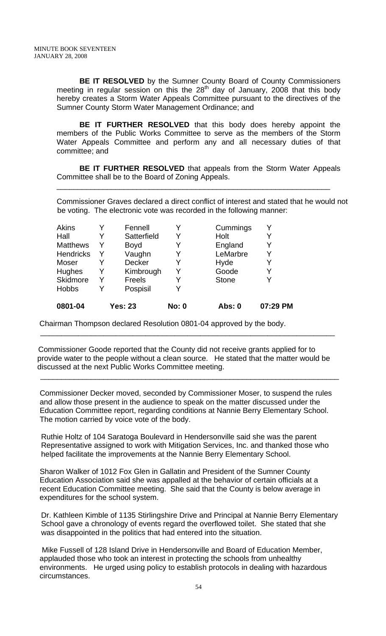**BE IT RESOLVED** by the Sumner County Board of County Commissioners meeting in regular session on this the  $28<sup>th</sup>$  day of January, 2008 that this body hereby creates a Storm Water Appeals Committee pursuant to the directives of the Sumner County Storm Water Management Ordinance; and

**BE IT FURTHER RESOLVED** that this body does hereby appoint the members of the Public Works Committee to serve as the members of the Storm Water Appeals Committee and perform any and all necessary duties of that committee; and

**BE IT FURTHER RESOLVED** that appeals from the Storm Water Appeals Committee shall be to the Board of Zoning Appeals.

\_\_\_\_\_\_\_\_\_\_\_\_\_\_\_\_\_\_\_\_\_\_\_\_\_\_\_\_\_\_\_\_\_\_\_\_\_\_\_\_\_\_\_\_\_\_\_\_\_\_\_\_\_\_\_\_\_\_\_\_\_\_\_\_\_

Commissioner Graves declared a direct conflict of interest and stated that he would not be voting. The electronic vote was recorded in the following manner:

| Akins<br>Hall    | Y | Fennell<br>Satterfield | Y            | Cummings<br>Holt | Y<br>Y   |
|------------------|---|------------------------|--------------|------------------|----------|
| <b>Matthews</b>  | Y | <b>Boyd</b>            | Y            | England          | Y        |
| <b>Hendricks</b> | Y | Vaughn                 |              | LeMarbre         | Y        |
| Moser            |   | Decker                 | Y            | Hyde             | Y        |
| Hughes           | Y | Kimbrough              | Y            | Goode            | Y        |
| Skidmore         | Y | Freels                 |              | <b>Stone</b>     | v        |
| <b>Hobbs</b>     | Y | Pospisil               |              |                  |          |
| 0801-04          |   | <b>Yes: 23</b>         | <b>No: 0</b> | Abs: 0           | 07:29 PM |

 $\overline{\phantom{a}}$  , and the contribution of the contribution of the contribution of the contribution of the contribution of the contribution of the contribution of the contribution of the contribution of the contribution of the

 $\overline{\phantom{a}}$  , and the contribution of the contribution of the contribution of the contribution of the contribution of the contribution of the contribution of the contribution of the contribution of the contribution of the

Chairman Thompson declared Resolution 0801-04 approved by the body.

 Commissioner Goode reported that the County did not receive grants applied for to provide water to the people without a clean source. He stated that the matter would be discussed at the next Public Works Committee meeting.

Commissioner Decker moved, seconded by Commissioner Moser, to suspend the rules and allow those present in the audience to speak on the matter discussed under the Education Committee report, regarding conditions at Nannie Berry Elementary School. The motion carried by voice vote of the body.

 Ruthie Holtz of 104 Saratoga Boulevard in Hendersonville said she was the parent Representative assigned to work with Mitigation Services, Inc. and thanked those who helped facilitate the improvements at the Nannie Berry Elementary School.

Sharon Walker of 1012 Fox Glen in Gallatin and President of the Sumner County Education Association said she was appalled at the behavior of certain officials at a recent Education Committee meeting. She said that the County is below average in expenditures for the school system.

 Dr. Kathleen Kimble of 1135 Stirlingshire Drive and Principal at Nannie Berry Elementary School gave a chronology of events regard the overflowed toilet. She stated that she was disappointed in the politics that had entered into the situation.

 Mike Fussell of 128 Island Drive in Hendersonville and Board of Education Member, applauded those who took an interest in protecting the schools from unhealthy environments. He urged using policy to establish protocols in dealing with hazardous circumstances.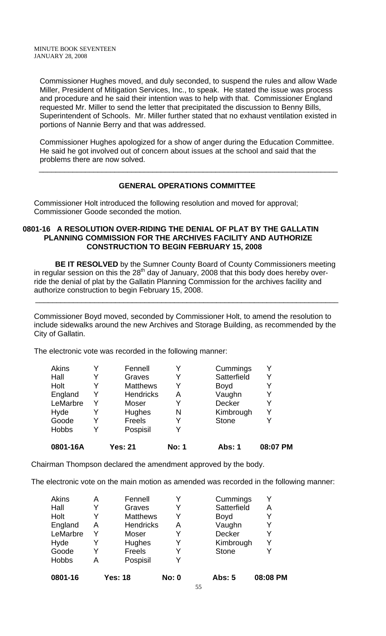Commissioner Hughes moved, and duly seconded, to suspend the rules and allow Wade Miller, President of Mitigation Services, Inc., to speak. He stated the issue was process and procedure and he said their intention was to help with that. Commissioner England requested Mr. Miller to send the letter that precipitated the discussion to Benny Bills, Superintendent of Schools. Mr. Miller further stated that no exhaust ventilation existed in portions of Nannie Berry and that was addressed.

Commissioner Hughes apologized for a show of anger during the Education Committee. He said he got involved out of concern about issues at the school and said that the problems there are now solved.

#### **GENERAL OPERATIONS COMMITTEE**

\_\_\_\_\_\_\_\_\_\_\_\_\_\_\_\_\_\_\_\_\_\_\_\_\_\_\_\_\_\_\_\_\_\_\_\_\_\_\_\_\_\_\_\_\_\_\_\_\_\_\_\_\_\_\_\_\_\_\_\_\_\_\_\_\_\_\_\_\_\_\_

Commissioner Holt introduced the following resolution and moved for approval; Commissioner Goode seconded the motion.

#### **0801-16 A RESOLUTION OVER-RIDING THE DENIAL OF PLAT BY THE GALLATIN PLANNING COMMISSION FOR THE ARCHIVES FACILITY AND AUTHORIZE CONSTRUCTION TO BEGIN FEBRUARY 15, 2008**

 **BE IT RESOLVED** by the Sumner County Board of County Commissioners meeting in regular session on this the  $28<sup>th</sup>$  day of January, 2008 that this body does hereby override the denial of plat by the Gallatin Planning Commission for the archives facility and authorize construction to begin February 15, 2008.

 $\overline{\phantom{a}}$  , and the contribution of the contribution of the contribution of the contribution of the contribution of the contribution of the contribution of the contribution of the contribution of the contribution of the

Commissioner Boyd moved, seconded by Commissioner Holt, to amend the resolution to include sidewalks around the new Archives and Storage Building, as recommended by the City of Gallatin.

The electronic vote was recorded in the following manner:

| 0801-16A     |   | <b>Yes: 21</b>   | <b>No: 1</b> | <b>Abs: 1</b> | 08:07 PM |
|--------------|---|------------------|--------------|---------------|----------|
| <b>Hobbs</b> | Y | Pospisil         | Y            |               |          |
| Goode        |   | Freels           |              | <b>Stone</b>  |          |
| Hyde         |   | Hughes           | N            | Kimbrough     | Y        |
| LeMarbre     | Y | Moser            | Y            | <b>Decker</b> | Y        |
| England      | Y | <b>Hendricks</b> | A            | Vaughn        | Y        |
| Holt         | Y | <b>Matthews</b>  |              | <b>Boyd</b>   | Y        |
| Hall         | Y | Graves           | Y            | Satterfield   | Y        |
| Akins        |   | Fennell          |              | Cummings      | v        |

Chairman Thompson declared the amendment approved by the body.

The electronic vote on the main motion as amended was recorded in the following manner:

| <b>Akins</b> | Α | Fennell          | Y            | Cummings      |          |
|--------------|---|------------------|--------------|---------------|----------|
| Hall         | Y | Graves           | Y            | Satterfield   | А        |
| Holt         | Y | <b>Matthews</b>  | Y            | <b>Boyd</b>   |          |
| England      | Α | <b>Hendricks</b> | A            | Vaughn        |          |
| LeMarbre     | Y | Moser            | Y            | Decker        |          |
| Hyde         | Y | Hughes           | Y            | Kimbrough     |          |
| Goode        | Y | <b>Freels</b>    | Y            | <b>Stone</b>  |          |
| <b>Hobbs</b> | Α | Pospisil         | v            |               |          |
| 0801-16      |   | <b>Yes: 18</b>   | <b>No: 0</b> | <b>Abs: 5</b> | 08:08 PM |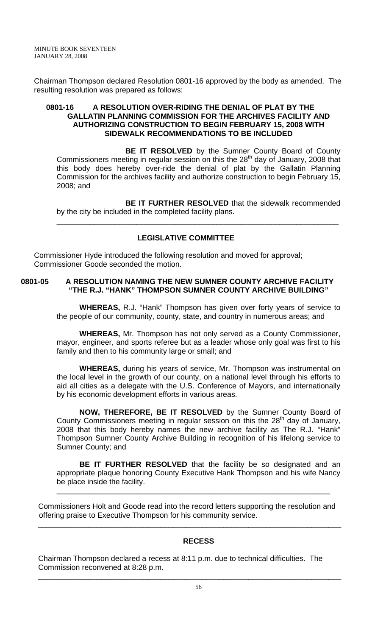Chairman Thompson declared Resolution 0801-16 approved by the body as amended. The resulting resolution was prepared as follows:

## **0801-16 A RESOLUTION OVER-RIDING THE DENIAL OF PLAT BY THE GALLATIN PLANNING COMMISSION FOR THE ARCHIVES FACILITY AND AUTHORIZING CONSTRUCTION TO BEGIN FEBRUARY 15, 2008 WITH SIDEWALK RECOMMENDATIONS TO BE INCLUDED**

**BE IT RESOLVED** by the Sumner County Board of County Commissioners meeting in regular session on this the  $28<sup>th</sup>$  day of January, 2008 that this body does hereby over-ride the denial of plat by the Gallatin Planning Commission for the archives facility and authorize construction to begin February 15, 2008; and

**BE IT FURTHER RESOLVED** that the sidewalk recommended by the city be included in the completed facility plans.

\_\_\_\_\_\_\_\_\_\_\_\_\_\_\_\_\_\_\_\_\_\_\_\_\_\_\_\_\_\_\_\_\_\_\_\_\_\_\_\_\_\_\_\_\_\_\_\_\_\_\_\_\_\_\_\_\_\_\_\_\_\_\_\_\_\_\_

## **LEGISLATIVE COMMITTEE**

Commissioner Hyde introduced the following resolution and moved for approval; Commissioner Goode seconded the motion.

## **0801-05 A RESOLUTION NAMING THE NEW SUMNER COUNTY ARCHIVE FACILITY "THE R.J. "HANK" THOMPSON SUMNER COUNTY ARCHIVE BUILDING"**

**WHEREAS,** R.J. "Hank" Thompson has given over forty years of service to the people of our community, county, state, and country in numerous areas; and

**WHEREAS,** Mr. Thompson has not only served as a County Commissioner, mayor, engineer, and sports referee but as a leader whose only goal was first to his family and then to his community large or small; and

**WHEREAS,** during his years of service, Mr. Thompson was instrumental on the local level in the growth of our county, on a national level through his efforts to aid all cities as a delegate with the U.S. Conference of Mayors, and internationally by his economic development efforts in various areas.

**NOW, THEREFORE, BE IT RESOLVED** by the Sumner County Board of County Commissioners meeting in regular session on this the 28<sup>th</sup> day of January, 2008 that this body hereby names the new archive facility as The R.J. "Hank" Thompson Sumner County Archive Building in recognition of his lifelong service to Sumner County; and

**BE IT FURTHER RESOLVED** that the facility be so designated and an appropriate plaque honoring County Executive Hank Thompson and his wife Nancy be place inside the facility.

\_\_\_\_\_\_\_\_\_\_\_\_\_\_\_\_\_\_\_\_\_\_\_\_\_\_\_\_\_\_\_\_\_\_\_\_\_\_\_\_\_\_\_\_\_\_\_\_\_\_\_\_\_\_\_\_\_\_\_\_\_\_\_\_\_

 Commissioners Holt and Goode read into the record letters supporting the resolution and offering praise to Executive Thompson for his community service.

 $\overline{\phantom{a}}$  , and the contract of the contract of the contract of the contract of the contract of the contract of the contract of the contract of the contract of the contract of the contract of the contract of the contrac

## **RECESS**

 Chairman Thompson declared a recess at 8:11 p.m. due to technical difficulties. The Commission reconvened at 8:28 p.m.

 $\overline{\phantom{a}}$  , and the contribution of the contribution of the contribution of the contribution of the contribution of the contribution of the contribution of the contribution of the contribution of the contribution of the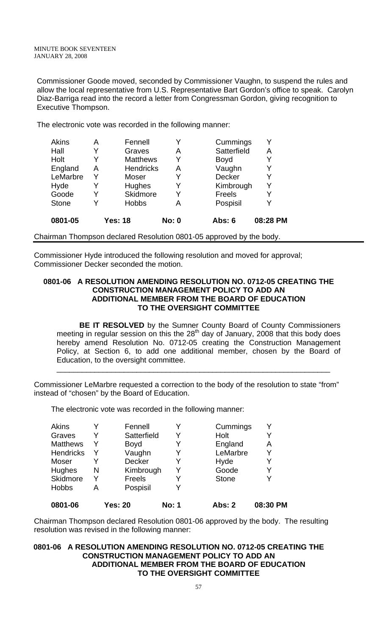Commissioner Goode moved, seconded by Commissioner Vaughn, to suspend the rules and allow the local representative from U.S. Representative Bart Gordon's office to speak. Carolyn Diaz-Barriga read into the record a letter from Congressman Gordon, giving recognition to Executive Thompson.

The electronic vote was recorded in the following manner:

| <b>Akins</b> | А | Fennell          | Y            | Cummings    |          |
|--------------|---|------------------|--------------|-------------|----------|
| Hall         | Y | Graves           | Α            | Satterfield | A        |
| Holt         | Y | <b>Matthews</b>  | Y            | <b>Boyd</b> |          |
| England      | Α | <b>Hendricks</b> | Α            | Vaughn      | Y        |
| LeMarbre     | Υ | Moser            | Y            | Decker      |          |
| Hyde         | Y | Hughes           | Y            | Kimbrough   | Y        |
| Goode        | Y | Skidmore         | Y            | Freels      |          |
| <b>Stone</b> | Y | <b>Hobbs</b>     | А            | Pospisil    |          |
| 0801-05      |   | <b>Yes: 18</b>   | <b>No: 0</b> | Abs: 6      | 08:28 PM |

Chairman Thompson declared Resolution 0801-05 approved by the body.

Commissioner Hyde introduced the following resolution and moved for approval; Commissioner Decker seconded the motion.

#### **0801-06 A RESOLUTION AMENDING RESOLUTION NO. 0712-05 CREATING THE CONSTRUCTION MANAGEMENT POLICY TO ADD AN ADDITIONAL MEMBER FROM THE BOARD OF EDUCATION TO THE OVERSIGHT COMMITTEE**

**BE IT RESOLVED** by the Sumner County Board of County Commissioners meeting in regular session on this the  $28<sup>th</sup>$  day of January, 2008 that this body does hereby amend Resolution No. 0712-05 creating the Construction Management Policy, at Section 6, to add one additional member, chosen by the Board of Education, to the oversight committee.

\_\_\_\_\_\_\_\_\_\_\_\_\_\_\_\_\_\_\_\_\_\_\_\_\_\_\_\_\_\_\_\_\_\_\_\_\_\_\_\_\_\_\_\_\_\_\_\_\_\_\_\_\_\_\_\_\_\_\_\_\_\_\_\_\_

Commissioner LeMarbre requested a correction to the body of the resolution to state "from" instead of "chosen" by the Board of Education.

The electronic vote was recorded in the following manner:

| 0801-06          |   | Yes: 20     | <b>No: 1</b> | Abs: 2       | 08:30 PM |
|------------------|---|-------------|--------------|--------------|----------|
| <b>Hobbs</b>     | А | Pospisil    | v            |              |          |
| Skidmore         | Y | Freels      | Y            | <b>Stone</b> |          |
| Hughes           | N | Kimbrough   | Y            | Goode        | Y        |
| Moser            | Y | Decker      | Y            | Hyde         |          |
| <b>Hendricks</b> | Y | Vaughn      | Y            | LeMarbre     | Y        |
| <b>Matthews</b>  | Y | <b>Boyd</b> | Y            | England      | Α        |
| Graves           | Y | Satterfield | Y            | Holt         |          |
| Akins            |   | Fennell     | v            | Cummings     |          |

Chairman Thompson declared Resolution 0801-06 approved by the body. The resulting resolution was revised in the following manner:

#### **0801-06 A RESOLUTION AMENDING RESOLUTION NO. 0712-05 CREATING THE CONSTRUCTION MANAGEMENT POLICY TO ADD AN ADDITIONAL MEMBER FROM THE BOARD OF EDUCATION TO THE OVERSIGHT COMMITTEE**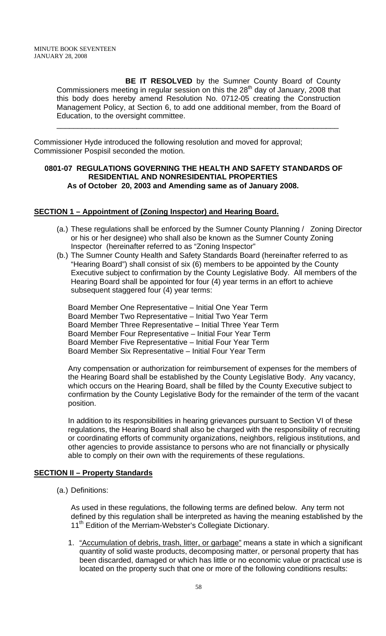**BE IT RESOLVED** by the Sumner County Board of County Commissioners meeting in regular session on this the  $28<sup>th</sup>$  day of January, 2008 that this body does hereby amend Resolution No. 0712-05 creating the Construction Management Policy, at Section 6, to add one additional member, from the Board of Education, to the oversight committee.

\_\_\_\_\_\_\_\_\_\_\_\_\_\_\_\_\_\_\_\_\_\_\_\_\_\_\_\_\_\_\_\_\_\_\_\_\_\_\_\_\_\_\_\_\_\_\_\_\_\_\_\_\_\_\_\_\_\_\_\_\_\_\_\_\_\_\_

Commissioner Hyde introduced the following resolution and moved for approval; Commissioner Pospisil seconded the motion.

## **0801-07 REGULATIONS GOVERNING THE HEALTH AND SAFETY STANDARDS OF RESIDENTIAL AND NONRESIDENTIAL PROPERTIES As of October 20, 2003 and Amending same as of January 2008.**

## **SECTION 1 – Appointment of (Zoning Inspector) and Hearing Board.**

- (a.) These regulations shall be enforced by the Sumner County Planning / Zoning Director or his or her designee) who shall also be known as the Sumner County Zoning Inspector (hereinafter referred to as "Zoning Inspector"
- (b.) The Sumner County Health and Safety Standards Board (hereinafter referred to as "Hearing Board") shall consist of six (6) members to be appointed by the County Executive subject to confirmation by the County Legislative Body. All members of the Hearing Board shall be appointed for four (4) year terms in an effort to achieve subsequent staggered four (4) year terms:

Board Member One Representative – Initial One Year Term Board Member Two Representative – Initial Two Year Term Board Member Three Representative – Initial Three Year Term Board Member Four Representative – Initial Four Year Term Board Member Five Representative – Initial Four Year Term Board Member Six Representative – Initial Four Year Term

Any compensation or authorization for reimbursement of expenses for the members of the Hearing Board shall be established by the County Legislative Body. Any vacancy, which occurs on the Hearing Board, shall be filled by the County Executive subject to confirmation by the County Legislative Body for the remainder of the term of the vacant position.

In addition to its responsibilities in hearing grievances pursuant to Section VI of these regulations, the Hearing Board shall also be charged with the responsibility of recruiting or coordinating efforts of community organizations, neighbors, religious institutions, and other agencies to provide assistance to persons who are not financially or physically able to comply on their own with the requirements of these regulations.

## **SECTION II – Property Standards**

(a.) Definitions:

As used in these regulations, the following terms are defined below. Any term not defined by this regulation shall be interpreted as having the meaning established by the 11<sup>th</sup> Edition of the Merriam-Webster's Collegiate Dictionary.

1. "Accumulation of debris, trash, litter, or garbage" means a state in which a significant quantity of solid waste products, decomposing matter, or personal property that has been discarded, damaged or which has little or no economic value or practical use is located on the property such that one or more of the following conditions results: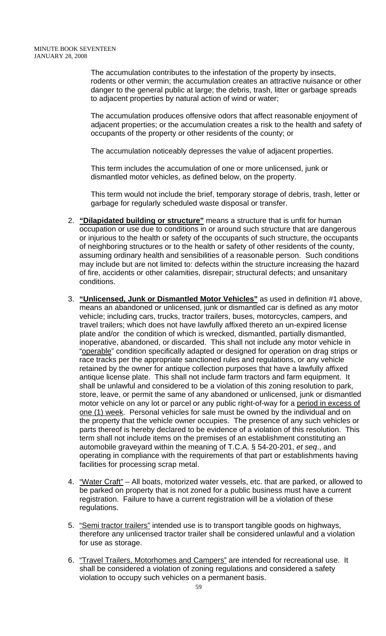The accumulation contributes to the infestation of the property by insects, rodents or other vermin; the accumulation creates an attractive nuisance or other danger to the general public at large; the debris, trash, litter or garbage spreads to adjacent properties by natural action of wind or water;

The accumulation produces offensive odors that affect reasonable enjoyment of adjacent properties; or the accumulation creates a risk to the health and safety of occupants of the property or other residents of the county; or

The accumulation noticeably depresses the value of adjacent properties.

This term includes the accumulation of one or more unlicensed, junk or dismantled motor vehicles, as defined below, on the property.

This term would not include the brief, temporary storage of debris, trash, letter or garbage for regularly scheduled waste disposal or transfer.

- 2. **"Dilapidated building or structure"** means a structure that is unfit for human occupation or use due to conditions in or around such structure that are dangerous or injurious to the health or safety of the occupants of such structure, the occupants of neighboring structures or to the health or safety of other residents of the county, assuming ordinary health and sensibilities of a reasonable person. Such conditions may include but are not limited to: defects within the structure increasing the hazard of fire, accidents or other calamities, disrepair; structural defects; and unsanitary conditions.
- 3. **"Unlicensed, Junk or Dismantled Motor Vehicles"** as used in definition #1 above, means an abandoned or unlicensed, junk or dismantled car is defined as any motor vehicle; including cars, trucks, tractor trailers, buses, motorcycles, campers, and travel trailers; which does not have lawfully affixed thereto an un-expired license plate and/or the condition of which is wrecked, dismantled, partially dismantled, inoperative, abandoned, or discarded. This shall not include any motor vehicle in "operable" condition specifically adapted or designed for operation on drag strips or race tracks per the appropriate sanctioned rules and regulations, or any vehicle retained by the owner for antique collection purposes that have a lawfully affixed antique license plate. This shall not include farm tractors and farm equipment. It shall be unlawful and considered to be a violation of this zoning resolution to park, store, leave, or permit the same of any abandoned or unlicensed, junk or dismantled motor vehicle on any lot or parcel or any public right-of-way for a period in excess of one (1) week. Personal vehicles for sale must be owned by the individual and on the property that the vehicle owner occupies. The presence of any such vehicles or parts thereof is hereby declared to be evidence of a violation of this resolution. This term shall not include items on the premises of an establishment constituting an automobile graveyard within the meaning of T.C.A. § 54-20-201, *et seq*., and operating in compliance with the requirements of that part or establishments having facilities for processing scrap metal.
- 4. "Water Craft" All boats, motorized water vessels, etc. that are parked, or allowed to be parked on property that is not zoned for a public business must have a current registration. Failure to have a current registration will be a violation of these regulations.
- 5. "Semi tractor trailers" intended use is to transport tangible goods on highways, therefore any unlicensed tractor trailer shall be considered unlawful and a violation for use as storage.
- 6. "Travel Trailers, Motorhomes and Campers" are intended for recreational use. It shall be considered a violation of zoning regulations and considered a safety violation to occupy such vehicles on a permanent basis.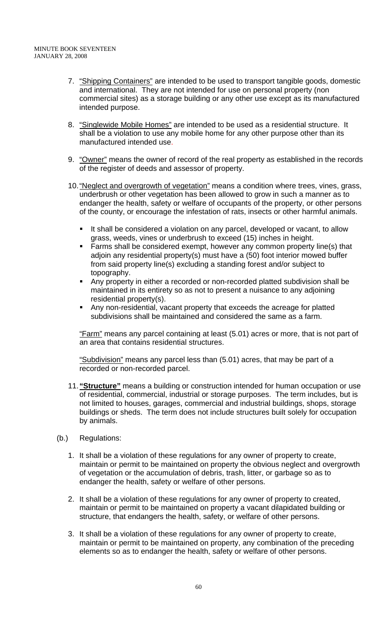- 7. "Shipping Containers" are intended to be used to transport tangible goods, domestic and international. They are not intended for use on personal property (non commercial sites) as a storage building or any other use except as its manufactured intended purpose.
- 8. "Singlewide Mobile Homes" are intended to be used as a residential structure. It shall be a violation to use any mobile home for any other purpose other than its manufactured intended use.
- 9. "Owner" means the owner of record of the real property as established in the records of the register of deeds and assessor of property.
- 10. "Neglect and overgrowth of vegetation" means a condition where trees, vines, grass, underbrush or other vegetation has been allowed to grow in such a manner as to endanger the health, safety or welfare of occupants of the property, or other persons of the county, or encourage the infestation of rats, insects or other harmful animals.
	- It shall be considered a violation on any parcel, developed or vacant, to allow grass, weeds, vines or underbrush to exceed (15) inches in height.
	- **Farms shall be considered exempt, however any common property line(s) that** adjoin any residential property(s) must have a (50) foot interior mowed buffer from said property line(s) excluding a standing forest and/or subject to topography.
	- Any property in either a recorded or non-recorded platted subdivision shall be maintained in its entirety so as not to present a nuisance to any adjoining residential property(s).
	- Any non-residential, vacant property that exceeds the acreage for platted subdivisions shall be maintained and considered the same as a farm.

"Farm" means any parcel containing at least (5.01) acres or more, that is not part of an area that contains residential structures.

"Subdivision" means any parcel less than (5.01) acres, that may be part of a recorded or non-recorded parcel.

- 11. **"Structure"** means a building or construction intended for human occupation or use of residential, commercial, industrial or storage purposes. The term includes, but is not limited to houses, garages, commercial and industrial buildings, shops, storage buildings or sheds. The term does not include structures built solely for occupation by animals.
- (b.) Regulations:
	- 1. It shall be a violation of these regulations for any owner of property to create, maintain or permit to be maintained on property the obvious neglect and overgrowth of vegetation or the accumulation of debris, trash, litter, or garbage so as to endanger the health, safety or welfare of other persons.
	- 2. It shall be a violation of these regulations for any owner of property to created, maintain or permit to be maintained on property a vacant dilapidated building or structure, that endangers the health, safety, or welfare of other persons.
	- 3. It shall be a violation of these regulations for any owner of property to create, maintain or permit to be maintained on property, any combination of the preceding elements so as to endanger the health, safety or welfare of other persons.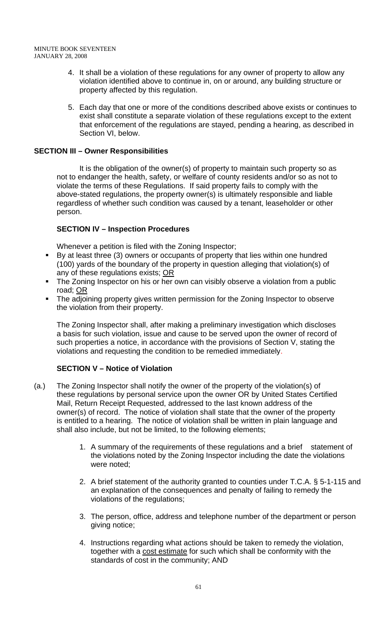- 4. It shall be a violation of these regulations for any owner of property to allow any violation identified above to continue in, on or around, any building structure or property affected by this regulation.
- 5. Each day that one or more of the conditions described above exists or continues to exist shall constitute a separate violation of these regulations except to the extent that enforcement of the regulations are stayed, pending a hearing, as described in Section VI, below.

## **SECTION III – Owner Responsibilities**

 It is the obligation of the owner(s) of property to maintain such property so as not to endanger the health, safety, or welfare of county residents and/or so as not to violate the terms of these Regulations. If said property fails to comply with the above-stated regulations, the property owner(s) is ultimately responsible and liable regardless of whether such condition was caused by a tenant, leaseholder or other person.

## **SECTION IV – Inspection Procedures**

Whenever a petition is filed with the Zoning Inspector;

- By at least three (3) owners or occupants of property that lies within one hundred (100) yards of the boundary of the property in question alleging that violation(s) of any of these regulations exists; OR
- The Zoning Inspector on his or her own can visibly observe a violation from a public road; OR
- The adjoining property gives written permission for the Zoning Inspector to observe the violation from their property.

The Zoning Inspector shall, after making a preliminary investigation which discloses a basis for such violation, issue and cause to be served upon the owner of record of such properties a notice, in accordance with the provisions of Section V, stating the violations and requesting the condition to be remedied immediately.

## **SECTION V – Notice of Violation**

- (a.) The Zoning Inspector shall notify the owner of the property of the violation(s) of these regulations by personal service upon the owner OR by United States Certified Mail, Return Receipt Requested, addressed to the last known address of the owner(s) of record. The notice of violation shall state that the owner of the property is entitled to a hearing. The notice of violation shall be written in plain language and shall also include, but not be limited, to the following elements;
	- 1. A summary of the requirements of these regulations and a brief statement of the violations noted by the Zoning Inspector including the date the violations were noted;
	- 2. A brief statement of the authority granted to counties under T.C.A. § 5-1-115 and an explanation of the consequences and penalty of failing to remedy the violations of the regulations;
	- 3. The person, office, address and telephone number of the department or person giving notice;
	- 4. Instructions regarding what actions should be taken to remedy the violation, together with a cost estimate for such which shall be conformity with the standards of cost in the community; AND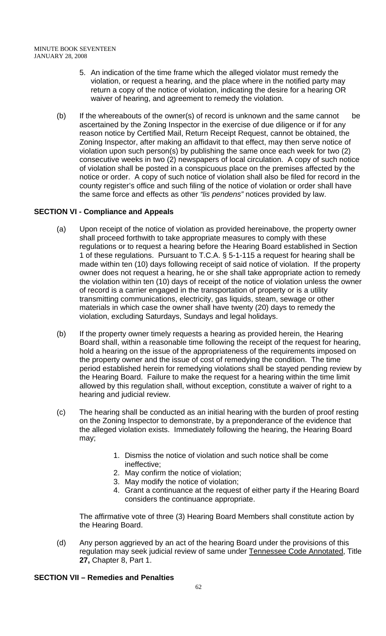- 5. An indication of the time frame which the alleged violator must remedy the violation, or request a hearing, and the place where in the notified party may return a copy of the notice of violation, indicating the desire for a hearing OR waiver of hearing, and agreement to remedy the violation.
- (b) If the whereabouts of the owner(s) of record is unknown and the same cannot be ascertained by the Zoning Inspector in the exercise of due diligence or if for any reason notice by Certified Mail, Return Receipt Request, cannot be obtained, the Zoning Inspector, after making an affidavit to that effect, may then serve notice of violation upon such person(s) by publishing the same once each week for two (2) consecutive weeks in two (2) newspapers of local circulation. A copy of such notice of violation shall be posted in a conspicuous place on the premises affected by the notice or order. A copy of such notice of violation shall also be filed for record in the county register's office and such filing of the notice of violation or order shall have the same force and effects as other *"lis pendens"* notices provided by law.

# **SECTION VI - Compliance and Appeals**

- (a) Upon receipt of the notice of violation as provided hereinabove, the property owner shall proceed forthwith to take appropriate measures to comply with these regulations or to request a hearing before the Hearing Board established in Section 1 of these regulations. Pursuant to T.C.A. § 5-1-115 a request for hearing shall be made within ten (10) days following receipt of said notice of violation. If the property owner does not request a hearing, he or she shall take appropriate action to remedy the violation within ten (10) days of receipt of the notice of violation unless the owner of record is a carrier engaged in the transportation of property or is a utility transmitting communications, electricity, gas liquids, steam, sewage or other materials in which case the owner shall have twenty (20) days to remedy the violation, excluding Saturdays, Sundays and legal holidays.
- (b) If the property owner timely requests a hearing as provided herein, the Hearing Board shall, within a reasonable time following the receipt of the request for hearing, hold a hearing on the issue of the appropriateness of the requirements imposed on the property owner and the issue of cost of remedying the condition. The time period established herein for remedying violations shall be stayed pending review by the Hearing Board. Failure to make the request for a hearing within the time limit allowed by this regulation shall, without exception, constitute a waiver of right to a hearing and judicial review.
- (c) The hearing shall be conducted as an initial hearing with the burden of proof resting on the Zoning Inspector to demonstrate, by a preponderance of the evidence that the alleged violation exists. Immediately following the hearing, the Hearing Board may;
	- 1. Dismiss the notice of violation and such notice shall be come ineffective;
	- 2. May confirm the notice of violation;
	- 3. May modify the notice of violation;
	- 4. Grant a continuance at the request of either party if the Hearing Board considers the continuance appropriate.

The affirmative vote of three (3) Hearing Board Members shall constitute action by the Hearing Board.

(d) Any person aggrieved by an act of the hearing Board under the provisions of this regulation may seek judicial review of same under Tennessee Code Annotated, Title **27,** Chapter 8, Part 1.

# **SECTION VII – Remedies and Penalties**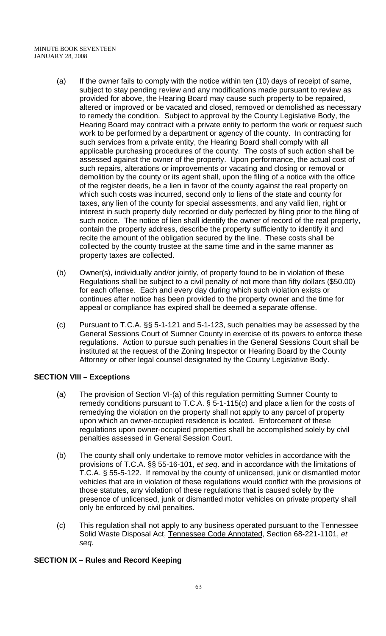- (a) If the owner fails to comply with the notice within ten (10) days of receipt of same, subject to stay pending review and any modifications made pursuant to review as provided for above, the Hearing Board may cause such property to be repaired, altered or improved or be vacated and closed, removed or demolished as necessary to remedy the condition. Subject to approval by the County Legislative Body, the Hearing Board may contract with a private entity to perform the work or request such work to be performed by a department or agency of the county. In contracting for such services from a private entity, the Hearing Board shall comply with all applicable purchasing procedures of the county. The costs of such action shall be assessed against the owner of the property. Upon performance, the actual cost of such repairs, alterations or improvements or vacating and closing or removal or demolition by the county or its agent shall, upon the filing of a notice with the office of the register deeds, be a lien in favor of the county against the real property on which such costs was incurred, second only to liens of the state and county for taxes, any lien of the county for special assessments, and any valid lien, right or interest in such property duly recorded or duly perfected by filing prior to the filing of such notice. The notice of lien shall identify the owner of record of the real property, contain the property address, describe the property sufficiently to identify it and recite the amount of the obligation secured by the line. These costs shall be collected by the county trustee at the same time and in the same manner as property taxes are collected.
- (b) Owner(s), individually and/or jointly, of property found to be in violation of these Regulations shall be subject to a civil penalty of not more than fifty dollars (\$50.00) for each offense. Each and every day during which such violation exists or continues after notice has been provided to the property owner and the time for appeal or compliance has expired shall be deemed a separate offense.
- (c) Pursuant to T.C.A. §§ 5-1-121 and 5-1-123, such penalties may be assessed by the General Sessions Court of Sumner County in exercise of its powers to enforce these regulations. Action to pursue such penalties in the General Sessions Court shall be instituted at the request of the Zoning Inspector or Hearing Board by the County Attorney or other legal counsel designated by the County Legislative Body.

## **SECTION VIII – Exceptions**

- (a) The provision of Section VI-(a) of this regulation permitting Sumner County to remedy conditions pursuant to T.C.A. § 5-1-115(c) and place a lien for the costs of remedying the violation on the property shall not apply to any parcel of property upon which an owner-occupied residence is located. Enforcement of these regulations upon owner-occupied properties shall be accomplished solely by civil penalties assessed in General Session Court.
- (b) The county shall only undertake to remove motor vehicles in accordance with the provisions of T.C.A. §§ 55-16-101, *et seq*. and in accordance with the limitations of T.C.A. § 55-5-122. If removal by the county of unlicensed, junk or dismantled motor vehicles that are in violation of these regulations would conflict with the provisions of those statutes, any violation of these regulations that is caused solely by the presence of unlicensed, junk or dismantled motor vehicles on private property shall only be enforced by civil penalties.
- (c) This regulation shall not apply to any business operated pursuant to the Tennessee Solid Waste Disposal Act, Tennessee Code Annotated, Section 68-221-1101, *et seq*.

## **SECTION IX – Rules and Record Keeping**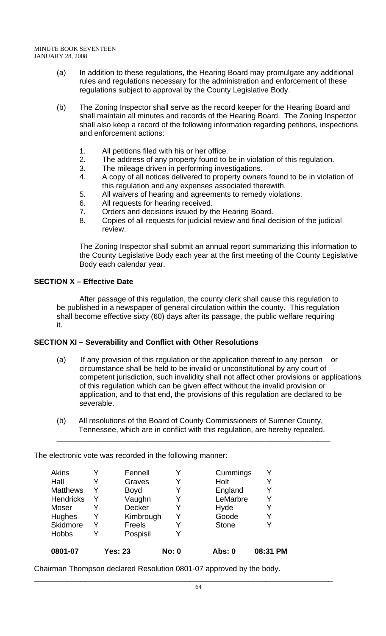- (a) In addition to these regulations, the Hearing Board may promulgate any additional rules and regulations necessary for the administration and enforcement of these regulations subject to approval by the County Legislative Body.
- (b) The Zoning Inspector shall serve as the record keeper for the Hearing Board and shall maintain all minutes and records of the Hearing Board. The Zoning Inspector shall also keep a record of the following information regarding petitions, inspections and enforcement actions:
	- 1. All petitions filed with his or her office.
	- 2. The address of any property found to be in violation of this regulation.
	- 3. The mileage driven in performing investigations.
	- 4. A copy of all notices delivered to property owners found to be in violation of this regulation and any expenses associated therewith.
	- 5. All waivers of hearing and agreements to remedy violations.
	- 6. All requests for hearing received.
	- 7. Orders and decisions issued by the Hearing Board.
	- 8. Copies of all requests for judicial review and final decision of the judicial review.

The Zoning Inspector shall submit an annual report summarizing this information to the County Legislative Body each year at the first meeting of the County Legislative Body each calendar year.

# **SECTION X – Effective Date**

 After passage of this regulation, the county clerk shall cause this regulation to be published in a newspaper of general circulation within the county. This regulation shall become effective sixty (60) days after its passage, the public welfare requiring it.

# **SECTION XI – Severability and Conflict with Other Resolutions**

- (a) If any provision of this regulation or the application thereof to any person or circumstance shall be held to be invalid or unconstitutional by any court of competent jurisdiction, such invalidity shall not affect other provisions or applications of this regulation which can be given effect without the invalid provision or application, and to that end, the provisions of this regulation are declared to be severable.
- (b) All resolutions of the Board of County Commissioners of Sumner County, Tennessee, which are in conflict with this regulation, are hereby repealed. \_\_\_\_\_\_\_\_\_\_\_\_\_\_\_\_\_\_\_\_\_\_\_\_\_\_\_\_\_\_\_\_\_\_\_\_\_\_\_\_\_\_\_\_\_\_\_\_\_\_\_\_\_\_\_\_\_\_\_\_\_\_\_\_\_

The electronic vote was recorded in the following manner:

| <b>Akins</b>     | Y | Fennell        | Y            | Cummings      |          |
|------------------|---|----------------|--------------|---------------|----------|
| Hall             |   | Graves         | Y            | Holt          |          |
| <b>Matthews</b>  | Y | <b>Boyd</b>    | Y            | England       | Y        |
| <b>Hendricks</b> | Y | Vaughn         | Y            | LeMarbre      |          |
| Moser            | Y | <b>Decker</b>  | Y            | Hyde          | Y        |
| Hughes           | Y | Kimbrough      | Y            | Goode         | Y        |
| Skidmore         | Y | <b>Freels</b>  | Y            | <b>Stone</b>  |          |
| <b>Hobbs</b>     | Y | Pospisil       | Y            |               |          |
| 0801-07          |   | <b>Yes: 23</b> | <b>No: 0</b> | <b>Abs: 0</b> | 08:31 PM |

Chairman Thompson declared Resolution 0801-07 approved by the body.

\_\_\_\_\_\_\_\_\_\_\_\_\_\_\_\_\_\_\_\_\_\_\_\_\_\_\_\_\_\_\_\_\_\_\_\_\_\_\_\_\_\_\_\_\_\_\_\_\_\_\_\_\_\_\_\_\_\_\_\_\_\_\_\_\_\_\_\_\_\_\_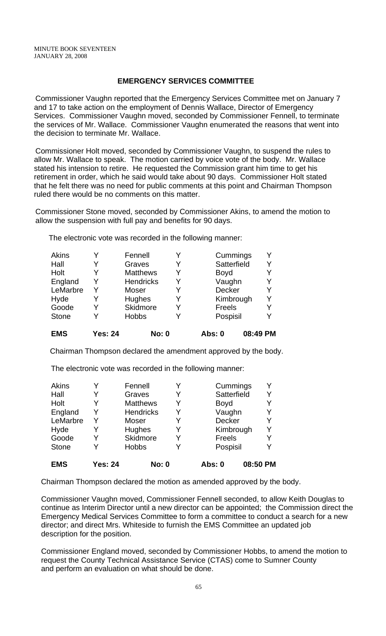#### **EMERGENCY SERVICES COMMITTEE**

 Commissioner Vaughn reported that the Emergency Services Committee met on January 7 and 17 to take action on the employment of Dennis Wallace, Director of Emergency Services. Commissioner Vaughn moved, seconded by Commissioner Fennell, to terminate the services of Mr. Wallace. Commissioner Vaughn enumerated the reasons that went into the decision to terminate Mr. Wallace.

 Commissioner Holt moved, seconded by Commissioner Vaughn, to suspend the rules to allow Mr. Wallace to speak. The motion carried by voice vote of the body. Mr. Wallace stated his intension to retire. He requested the Commission grant him time to get his retirement in order, which he said would take about 90 days. Commissioner Holt stated that he felt there was no need for public comments at this point and Chairman Thompson ruled there would be no comments on this matter.

 Commissioner Stone moved, seconded by Commissioner Akins, to amend the motion to allow the suspension with full pay and benefits for 90 days.

The electronic vote was recorded in the following manner:

| <b>EMS</b>   | Yes: 24 | <b>No: 0</b>     |   | Abs: 0      | 08:49 PM |
|--------------|---------|------------------|---|-------------|----------|
| <b>Stone</b> |         | <b>Hobbs</b>     | Y | Pospisil    | Y        |
| Goode        |         | Skidmore         | Y | Freels      | Y        |
| Hyde         |         | <b>Hughes</b>    | Y | Kimbrough   | Y        |
| LeMarbre     | Y       | Moser            | Y | Decker      | Y        |
| England      | Y       | <b>Hendricks</b> | Y | Vaughn      | Y        |
| Holt         |         | <b>Matthews</b>  | Y | <b>Boyd</b> | Y        |
| Hall         |         | Graves           | Y | Satterfield | Y        |
| Akins        |         | Fennell          | Y | Cummings    | Y        |

Chairman Thompson declared the amendment approved by the body.

The electronic vote was recorded in the following manner:

| Akins        |                | Fennell          | Y | Cummings      | Y        |
|--------------|----------------|------------------|---|---------------|----------|
| Hall         |                | Graves           | Y | Satterfield   | Y        |
| Holt         |                | <b>Matthews</b>  | Y | <b>Boyd</b>   |          |
| England      | Y              | <b>Hendricks</b> | Y | Vaughn        | Y        |
| LeMarbre     | Y              | <b>Moser</b>     | Y | Decker        | Y        |
| Hyde         |                | Hughes           | Y | Kimbrough     | Y        |
| Goode        |                | Skidmore         | Y | <b>Freels</b> | Y        |
| <b>Stone</b> |                | <b>Hobbs</b>     | Y | Pospisil      | Y        |
| <b>EMS</b>   | <b>Yes: 24</b> | <b>No: 0</b>     |   | Abs: 0        | 08:50 PM |

Chairman Thompson declared the motion as amended approved by the body.

 Commissioner Vaughn moved, Commissioner Fennell seconded, to allow Keith Douglas to continue as Interim Director until a new director can be appointed; the Commission direct the Emergency Medical Services Committee to form a committee to conduct a search for a new director; and direct Mrs. Whiteside to furnish the EMS Committee an updated job description for the position.

 Commissioner England moved, seconded by Commissioner Hobbs, to amend the motion to request the County Technical Assistance Service (CTAS) come to Sumner County and perform an evaluation on what should be done.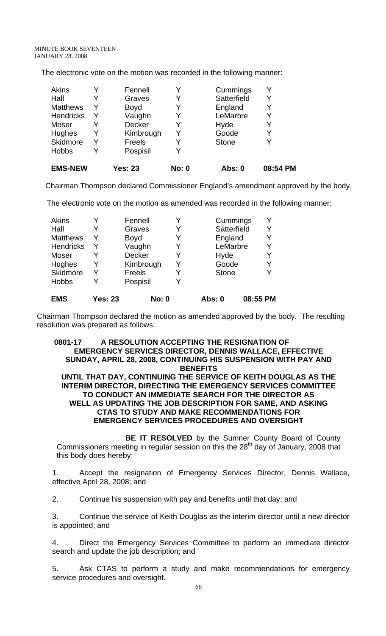The electronic vote on the motion was recorded in the following manner:

| <b>EMS-NEW</b>  |   | Yes: 23       | No: 0 | Abs: 0       | 08:54 PM |
|-----------------|---|---------------|-------|--------------|----------|
| <b>Hobbs</b>    |   | Pospisil      |       |              |          |
| Skidmore        | Y | <b>Freels</b> |       | <b>Stone</b> | Y        |
| Hughes          | Y | Kimbrough     |       | Goode        | Y        |
| Moser           |   | Decker        |       | Hyde         | Y        |
| Hendricks       | Y | Vaughn        |       | LeMarbre     | Υ        |
| <b>Matthews</b> | Y | <b>Boyd</b>   | Y     | England      | Y        |
| Hall            |   | Graves        | Y     | Satterfield  | Y        |
| Akins           |   | Fennell       |       | Cummings     | Y        |

Chairman Thompson declared Commissioner England's amendment approved by the body.

The electronic vote on the motion as amended was recorded in the following manner:

| <b>Matthews</b><br><b>Hendricks</b> | Y<br>Y         | <b>Boyd</b><br>Vaughn | Y | England<br>LeMarbre | Y        |
|-------------------------------------|----------------|-----------------------|---|---------------------|----------|
| Moser                               |                | Decker                |   | Hyde                |          |
| <b>Hughes</b>                       | Y              | Kimbrough             | Y | Goode               | Y        |
| Skidmore                            | Υ              | Freels                | Y | <b>Stone</b>        |          |
| <b>Hobbs</b>                        |                | Pospisil              |   |                     |          |
| <b>EMS</b>                          | <b>Yes: 23</b> | <b>No: 0</b>          |   | Abs: 0              | 08:55 PM |

Chairman Thompson declared the motion as amended approved by the body. The resulting resolution was prepared as follows:

#### **0801-17 A RESOLUTION ACCEPTING THE RESIGNATION OF EMERGENCY SERVICES DIRECTOR, DENNIS WALLACE, EFFECTIVE SUNDAY, APRIL 28, 2008, CONTINUING HIS SUSPENSION WITH PAY AND BENEFITS**

#### **UNTIL THAT DAY, CONTINUING THE SERVICE OF KEITH DOUGLAS AS THE INTERIM DIRECTOR, DIRECTING THE EMERGENCY SERVICES COMMITTEE TO CONDUCT AN IMMEDIATE SEARCH FOR THE DIRECTOR AS WELL AS UPDATING THE JOB DESCRIPTION FOR SAME, AND ASKING CTAS TO STUDY AND MAKE RECOMMENDATIONS FOR EMERGENCY SERVICES PROCEDURES AND OVERSIGHT**

**BE IT RESOLVED** by the Sumner County Board of County Commissioners meeting in regular session on this the  $28<sup>th</sup>$  day of January, 2008 that this body does hereby:

1. Accept the resignation of Emergency Services Director, Dennis Wallace, effective April 28, 2008; and

2. Continue his suspension with pay and benefits until that day; and

3. Continue the service of Keith Douglas as the interim director until a new director is appointed; and

4. Direct the Emergency Services Committee to perform an immediate director search and update the job description; and

5. Ask CTAS to perform a study and make recommendations for emergency service procedures and oversight.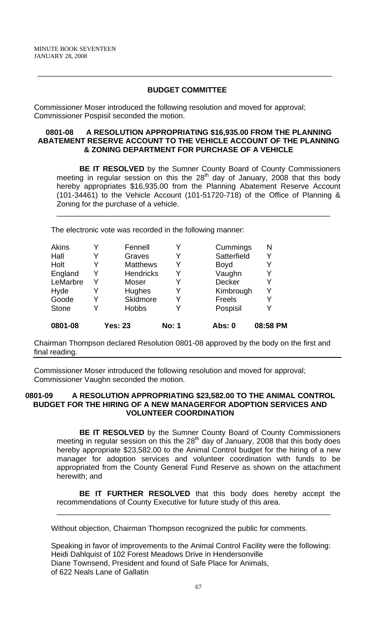## **BUDGET COMMITTEE**

 $\overline{\phantom{a}}$  , and the contribution of the contribution of the contribution of the contribution of the contribution of the contribution of the contribution of the contribution of the contribution of the contribution of the

Commissioner Moser introduced the following resolution and moved for approval; Commissioner Pospisil seconded the motion.

#### **0801-08 A RESOLUTION APPROPRIATING \$16,935.00 FROM THE PLANNING ABATEMENT RESERVE ACCOUNT TO THE VEHICLE ACCOUNT OF THE PLANNING & ZONING DEPARTMENT FOR PURCHASE OF A VEHICLE**

**BE IT RESOLVED** by the Sumner County Board of County Commissioners meeting in regular session on this the  $28<sup>th</sup>$  day of January, 2008 that this body hereby appropriates \$16,935.00 from the Planning Abatement Reserve Account (101-34461) to the Vehicle Account (101-51720-718) of the Office of Planning & Zoning for the purchase of a vehicle.

\_\_\_\_\_\_\_\_\_\_\_\_\_\_\_\_\_\_\_\_\_\_\_\_\_\_\_\_\_\_\_\_\_\_\_\_\_\_\_\_\_\_\_\_\_\_\_\_\_\_\_\_\_\_\_\_\_\_\_\_\_\_\_\_\_

The electronic vote was recorded in the following manner:

|   |                  |              | Abs: 0                         | 08:58 PM |
|---|------------------|--------------|--------------------------------|----------|
|   |                  |              | Pospisil                       | Y        |
|   | Skidmore         |              | <b>Freels</b>                  | Y        |
| Y | Hughes           | Y            | Kimbrough                      | Y        |
| Y | Moser            |              | <b>Decker</b>                  | Y        |
| Y | <b>Hendricks</b> | Y            | Vaughn                         | Y        |
| Y | <b>Matthews</b>  | Y            | <b>Boyd</b>                    | Y        |
|   | Graves           |              | Satterfield                    | Y        |
| Y | Fennell          |              | Cummings                       | N        |
|   |                  | <b>Hobbs</b> | <b>Yes: 23</b><br><b>No: 1</b> |          |

Chairman Thompson declared Resolution 0801-08 approved by the body on the first and final reading.

Commissioner Moser introduced the following resolution and moved for approval; Commissioner Vaughn seconded the motion.

#### **0801-09 A RESOLUTION APPROPRIATING \$23,582.00 TO THE ANIMAL CONTROL BUDGET FOR THE HIRING OF A NEW MANAGERFOR ADOPTION SERVICES AND VOLUNTEER COORDINATION**

**BE IT RESOLVED** by the Sumner County Board of County Commissioners meeting in regular session on this the 28<sup>th</sup> day of January, 2008 that this body does hereby appropriate \$23,582.00 to the Animal Control budget for the hiring of a new manager for adoption services and volunteer coordination with funds to be appropriated from the County General Fund Reserve as shown on the attachment herewith; and

**BE IT FURTHER RESOLVED** that this body does hereby accept the recommendations of County Executive for future study of this area.

\_\_\_\_\_\_\_\_\_\_\_\_\_\_\_\_\_\_\_\_\_\_\_\_\_\_\_\_\_\_\_\_\_\_\_\_\_\_\_\_\_\_\_\_\_\_\_\_\_\_\_\_\_\_\_\_\_\_\_\_\_\_\_\_\_

Without objection, Chairman Thompson recognized the public for comments.

Speaking in favor of improvements to the Animal Control Facility were the following: Heidi Dahlquist of 102 Forest Meadows Drive in Hendersonville Diane Townsend, President and found of Safe Place for Animals, of 622 Neals Lane of Gallatin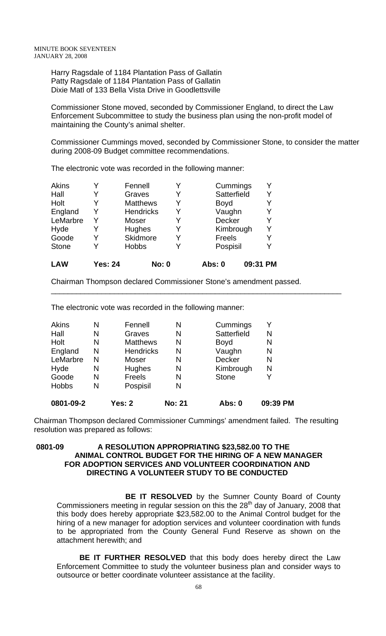Harry Ragsdale of 1184 Plantation Pass of Gallatin Patty Ragsdale of 1184 Plantation Pass of Gallatin Dixie Matl of 133 Bella Vista Drive in Goodlettsville

Commissioner Stone moved, seconded by Commissioner England, to direct the Law Enforcement Subcommittee to study the business plan using the non-profit model of maintaining the County's animal shelter.

Commissioner Cummings moved, seconded by Commissioner Stone, to consider the matter during 2008-09 Budget committee recommendations.

The electronic vote was recorded in the following manner:

| <b>LAW</b>   | <b>Yes: 24</b> |                  | <b>No: 0</b> | Abs: 0        | 09:31 PM |   |
|--------------|----------------|------------------|--------------|---------------|----------|---|
| <b>Stone</b> |                | <b>Hobbs</b>     | Y            | Pospisil      |          | Y |
| Goode        |                | Skidmore         | Y            | <b>Freels</b> |          | Y |
| Hyde         | Y              | Hughes           | Y            | Kimbrough     |          | Y |
| LeMarbre     | Y              | Moser            | Y            | <b>Decker</b> |          | Y |
| England      | Y              | <b>Hendricks</b> | Y            | Vaughn        |          | Y |
| Holt         |                | <b>Matthews</b>  | Y            | <b>Boyd</b>   |          | Y |
| Hall         |                | Graves           | Y            | Satterfield   |          | Y |
| <b>Akins</b> |                | Fennell          | Y            | Cummings      |          | Υ |

Chairman Thompson declared Commissioner Stone's amendment passed.

\_\_\_\_\_\_\_\_\_\_\_\_\_\_\_\_\_\_\_\_\_\_\_\_\_\_\_\_\_\_\_\_\_\_\_\_\_\_\_\_\_\_\_\_\_\_\_\_\_\_\_\_\_\_\_\_\_\_\_\_\_\_\_\_\_\_\_\_\_

The electronic vote was recorded in the following manner:

| 0801-09-2    |   | <b>Yes: 2</b>    | <b>No: 21</b> | Abs: 0        | 09:39 PM |
|--------------|---|------------------|---------------|---------------|----------|
| <b>Hobbs</b> | N | Pospisil         | N             |               |          |
| Goode        | N | <b>Freels</b>    | N             | <b>Stone</b>  |          |
| Hyde         | N | Hughes           | N             | Kimbrough     | N        |
| LeMarbre     | N | Moser            | N             | <b>Decker</b> | N        |
| England      | N | <b>Hendricks</b> | N             | Vaughn        | N        |
| Holt         | N | <b>Matthews</b>  | N             | <b>Boyd</b>   | N        |
| Hall         | N | Graves           | N             | Satterfield   | N        |
| <b>Akins</b> | Ν | Fennell          | N             | Cummings      | Y        |

Chairman Thompson declared Commissioner Cummings' amendment failed. The resulting resolution was prepared as follows:

#### **0801-09 A RESOLUTION APPROPRIATING \$23,582.00 TO THE ANIMAL CONTROL BUDGET FOR THE HIRING OF A NEW MANAGER FOR ADOPTION SERVICES AND VOLUNTEER COORDINATION AND DIRECTING A VOLUNTEER STUDY TO BE CONDUCTED**

**BE IT RESOLVED** by the Sumner County Board of County Commissioners meeting in regular session on this the  $28<sup>th</sup>$  day of January, 2008 that this body does hereby appropriate \$23,582.00 to the Animal Control budget for the hiring of a new manager for adoption services and volunteer coordination with funds to be appropriated from the County General Fund Reserve as shown on the attachment herewith; and

**BE IT FURTHER RESOLVED** that this body does hereby direct the Law Enforcement Committee to study the volunteer business plan and consider ways to outsource or better coordinate volunteer assistance at the facility.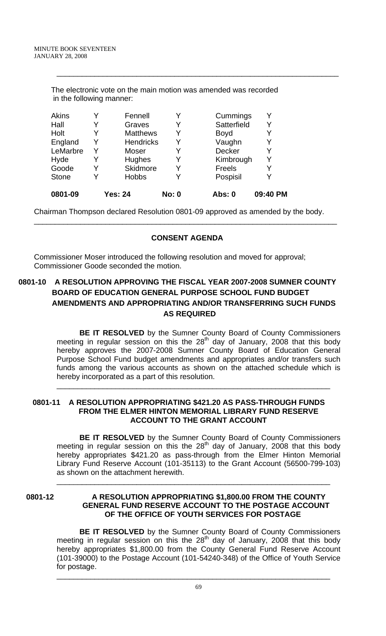| Y | <b>Hobbs</b>     | Y                        | Pospisil      |   |
|---|------------------|--------------------------|---------------|---|
| Y | <b>Skidmore</b>  | Y                        | <b>Freels</b> | Y |
| Y | <b>Hughes</b>    | Y                        | Kimbrough     | Y |
| Y | Moser            | Y                        | <b>Decker</b> | Y |
| Y | <b>Hendricks</b> | Y                        | Vaughn        | Y |
| Y | <b>Matthews</b>  | Y                        | <b>Boyd</b>   | Y |
| Y | Graves           | Y                        | Satterfield   | Y |
| Y | Fennell          | Y                        | Cummings      | Y |
|   |                  | in the following manner: |               |   |

The electronic vote on the main motion was amended was recorded

\_\_\_\_\_\_\_\_\_\_\_\_\_\_\_\_\_\_\_\_\_\_\_\_\_\_\_\_\_\_\_\_\_\_\_\_\_\_\_\_\_\_\_\_\_\_\_\_\_\_\_\_\_\_\_\_\_\_\_\_\_\_\_\_\_\_\_

Chairman Thompson declared Resolution 0801-09 approved as amended by the body.

## **CONSENT AGENDA**

\_\_\_\_\_\_\_\_\_\_\_\_\_\_\_\_\_\_\_\_\_\_\_\_\_\_\_\_\_\_\_\_\_\_\_\_\_\_\_\_\_\_\_\_\_\_\_\_\_\_\_\_\_\_\_\_\_\_\_\_\_\_\_\_\_\_\_\_\_\_\_\_

Commissioner Moser introduced the following resolution and moved for approval; Commissioner Goode seconded the motion.

# **0801-10 A RESOLUTION APPROVING THE FISCAL YEAR 2007-2008 SUMNER COUNTY BOARD OF EDUCATION GENERAL PURPOSE SCHOOL FUND BUDGET AMENDMENTS AND APPROPRIATING AND/OR TRANSFERRING SUCH FUNDS AS REQUIRED**

**BE IT RESOLVED** by the Sumner County Board of County Commissioners meeting in regular session on this the  $28<sup>th</sup>$  day of January, 2008 that this body hereby approves the 2007-2008 Sumner County Board of Education General Purpose School Fund budget amendments and appropriates and/or transfers such funds among the various accounts as shown on the attached schedule which is hereby incorporated as a part of this resolution.

\_\_\_\_\_\_\_\_\_\_\_\_\_\_\_\_\_\_\_\_\_\_\_\_\_\_\_\_\_\_\_\_\_\_\_\_\_\_\_\_\_\_\_\_\_\_\_\_\_\_\_\_\_\_\_\_\_\_\_\_\_\_\_\_\_

#### **0801-11 A RESOLUTION APPROPRIATING \$421.20 AS PASS-THROUGH FUNDS FROM THE ELMER HINTON MEMORIAL LIBRARY FUND RESERVE ACCOUNT TO THE GRANT ACCOUNT**

**BE IT RESOLVED** by the Sumner County Board of County Commissioners meeting in regular session on this the  $28<sup>th</sup>$  day of January, 2008 that this body hereby appropriates \$421.20 as pass-through from the Elmer Hinton Memorial Library Fund Reserve Account (101-35113) to the Grant Account (56500-799-103) as shown on the attachment herewith.

\_\_\_\_\_\_\_\_\_\_\_\_\_\_\_\_\_\_\_\_\_\_\_\_\_\_\_\_\_\_\_\_\_\_\_\_\_\_\_\_\_\_\_\_\_\_\_\_\_\_\_\_\_\_\_\_\_\_\_\_\_\_\_\_\_

## **0801-12 A RESOLUTION APPROPRIATING \$1,800.00 FROM THE COUNTY GENERAL FUND RESERVE ACCOUNT TO THE POSTAGE ACCOUNT OF THE OFFICE OF YOUTH SERVICES FOR POSTAGE**

**BE IT RESOLVED** by the Sumner County Board of County Commissioners meeting in regular session on this the  $28<sup>th</sup>$  day of January, 2008 that this body hereby appropriates \$1,800.00 from the County General Fund Reserve Account (101-39000) to the Postage Account (101-54240-348) of the Office of Youth Service for postage. \_\_\_\_\_\_\_\_\_\_\_\_\_\_\_\_\_\_\_\_\_\_\_\_\_\_\_\_\_\_\_\_\_\_\_\_\_\_\_\_\_\_\_\_\_\_\_\_\_\_\_\_\_\_\_\_\_\_\_\_\_\_\_\_\_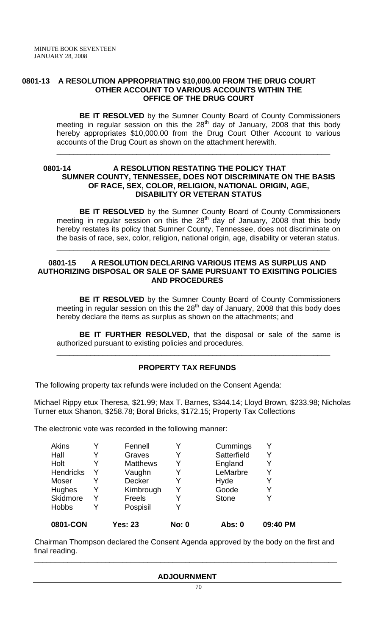#### **0801-13 A RESOLUTION APPROPRIATING \$10,000.00 FROM THE DRUG COURT OTHER ACCOUNT TO VARIOUS ACCOUNTS WITHIN THE OFFICE OF THE DRUG COURT**

**BE IT RESOLVED** by the Sumner County Board of County Commissioners meeting in regular session on this the  $28<sup>th</sup>$  day of January, 2008 that this body hereby appropriates \$10,000.00 from the Drug Court Other Account to various accounts of the Drug Court as shown on the attachment herewith.

\_\_\_\_\_\_\_\_\_\_\_\_\_\_\_\_\_\_\_\_\_\_\_\_\_\_\_\_\_\_\_\_\_\_\_\_\_\_\_\_\_\_\_\_\_\_\_\_\_\_\_\_\_\_\_\_\_\_\_\_\_\_\_\_\_

## **0801-14 A RESOLUTION RESTATING THE POLICY THAT SUMNER COUNTY, TENNESSEE, DOES NOT DISCRIMINATE ON THE BASIS OF RACE, SEX, COLOR, RELIGION, NATIONAL ORIGIN, AGE, DISABILITY OR VETERAN STATUS**

**BE IT RESOLVED** by the Sumner County Board of County Commissioners meeting in regular session on this the  $28<sup>th</sup>$  day of January, 2008 that this body hereby restates its policy that Sumner County, Tennessee, does not discriminate on the basis of race, sex, color, religion, national origin, age, disability or veteran status.

\_\_\_\_\_\_\_\_\_\_\_\_\_\_\_\_\_\_\_\_\_\_\_\_\_\_\_\_\_\_\_\_\_\_\_\_\_\_\_\_\_\_\_\_\_\_\_\_\_\_\_\_\_\_\_\_\_\_\_\_\_\_\_\_\_

## **0801-15 A RESOLUTION DECLARING VARIOUS ITEMS AS SURPLUS AND AUTHORIZING DISPOSAL OR SALE OF SAME PURSUANT TO EXISITING POLICIES AND PROCEDURES**

 **BE IT RESOLVED** by the Sumner County Board of County Commissioners meeting in regular session on this the  $28<sup>th</sup>$  day of January, 2008 that this body does hereby declare the items as surplus as shown on the attachments; and

**BE IT FURTHER RESOLVED,** that the disposal or sale of the same is authorized pursuant to existing policies and procedures.

\_\_\_\_\_\_\_\_\_\_\_\_\_\_\_\_\_\_\_\_\_\_\_\_\_\_\_\_\_\_\_\_\_\_\_\_\_\_\_\_\_\_\_\_\_\_\_\_\_\_\_\_\_\_\_\_\_\_\_\_\_\_\_\_\_

# **PROPERTY TAX REFUNDS**

The following property tax refunds were included on the Consent Agenda:

Michael Rippy etux Theresa, \$21.99; Max T. Barnes, \$344.14; Lloyd Brown, \$233.98; Nicholas Turner etux Shanon, \$258.78; Boral Bricks, \$172.15; Property Tax Collections

The electronic vote was recorded in the following manner:

| 0801-CON         |   | Yes: 23         | <b>No: 0</b> | Abs: 0       | 09:40 PM |
|------------------|---|-----------------|--------------|--------------|----------|
| <b>Hobbs</b>     | Y | Pospisil        |              |              |          |
| Skidmore         | Y | Freels          |              | <b>Stone</b> |          |
| Hughes           | Y | Kimbrough       |              | Goode        |          |
| Moser            | Y | <b>Decker</b>   |              | Hyde         | Y        |
| <b>Hendricks</b> | Y | Vaughn          | Y            | LeMarbre     | Y        |
| Holt             |   | <b>Matthews</b> |              | England      |          |
| Hall             | Y | Graves          | Y            | Satterfield  |          |
| <b>Akins</b>     | Y | Fennell         |              | Cummings     | Y        |
|                  |   |                 |              |              |          |

 Chairman Thompson declared the Consent Agenda approved by the body on the first and final reading.

**\_\_\_\_\_\_\_\_\_\_\_\_\_\_\_\_\_\_\_\_\_\_\_\_\_\_\_\_\_\_\_\_\_\_\_\_\_\_\_\_\_\_\_\_\_\_\_\_\_\_\_\_\_\_\_\_\_\_\_\_\_\_\_\_\_\_\_\_\_\_\_\_** 

#### **ADJOURNMENT**